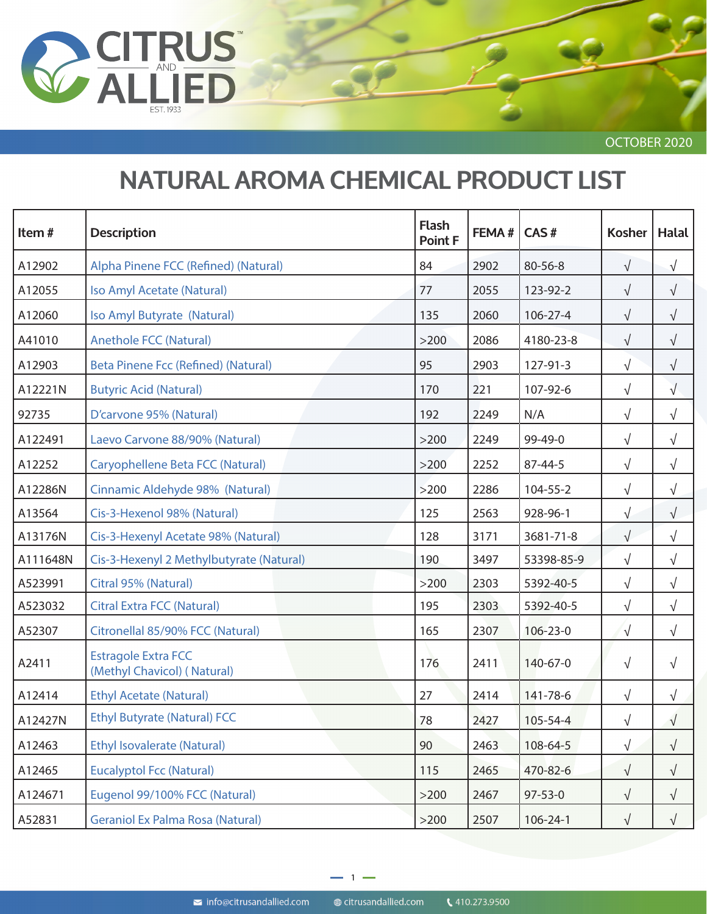

OCTOBER 2020

## **NATURAL AROMA CHEMICAL PRODUCT LIST**

| Item#    | <b>Description</b>                                        | <b>Flash</b><br>Point F | FEMA# | CAS#           | <b>Kosher</b> | <b>Halal</b> |
|----------|-----------------------------------------------------------|-------------------------|-------|----------------|---------------|--------------|
| A12902   | Alpha Pinene FCC (Refined) (Natural)                      | 84                      | 2902  | 80-56-8        | $\sqrt{}$     | $\sqrt{}$    |
| A12055   | Iso Amyl Acetate (Natural)                                | 77                      | 2055  | 123-92-2       | $\sqrt{}$     | $\sqrt{}$    |
| A12060   | Iso Amyl Butyrate (Natural)                               | 135                     | 2060  | $106 - 27 - 4$ | $\sqrt{}$     | $\sqrt{}$    |
| A41010   | <b>Anethole FCC (Natural)</b>                             | >200                    | 2086  | 4180-23-8      | $\sqrt{ }$    | $\sqrt{}$    |
| A12903   | Beta Pinene Fcc (Refined) (Natural)                       | 95                      | 2903  | 127-91-3       | $\sqrt{ }$    | $\sqrt{}$    |
| A12221N  | <b>Butyric Acid (Natural)</b>                             | 170                     | 221   | 107-92-6       | $\sqrt{}$     | $\sqrt{}$    |
| 92735    | D'carvone 95% (Natural)                                   | 192                     | 2249  | N/A            | $\sqrt{}$     | $\sqrt{}$    |
| A122491  | Laevo Carvone 88/90% (Natural)                            | >200                    | 2249  | 99-49-0        | $\sqrt{}$     | $\sqrt{}$    |
| A12252   | Caryophellene Beta FCC (Natural)                          | >200                    | 2252  | 87-44-5        | $\sqrt{}$     | $\sqrt{}$    |
| A12286N  | Cinnamic Aldehyde 98% (Natural)                           | >200                    | 2286  | 104-55-2       | $\sqrt{ }$    | $\sqrt{}$    |
| A13564   | Cis-3-Hexenol 98% (Natural)                               | 125                     | 2563  | 928-96-1       | $\sqrt{}$     | $\sqrt{}$    |
| A13176N  | Cis-3-Hexenyl Acetate 98% (Natural)                       | 128                     | 3171  | 3681-71-8      | $\sqrt{}$     | $\sqrt{}$    |
| A111648N | Cis-3-Hexenyl 2 Methylbutyrate (Natural)                  | 190                     | 3497  | 53398-85-9     | $\sqrt{}$     | $\sqrt{}$    |
| A523991  | Citral 95% (Natural)                                      | >200                    | 2303  | 5392-40-5      | $\sqrt{ }$    | $\sqrt{}$    |
| A523032  | <b>Citral Extra FCC (Natural)</b>                         | 195                     | 2303  | 5392-40-5      | $\sqrt{ }$    | $\sqrt{ }$   |
| A52307   | Citronellal 85/90% FCC (Natural)                          | 165                     | 2307  | $106 - 23 - 0$ | $\sqrt{}$     | $\sqrt{}$    |
| A2411    | <b>Estragole Extra FCC</b><br>(Methyl Chavicol) (Natural) | 176                     | 2411  | 140-67-0       | $\sqrt{ }$    | $\sqrt{}$    |
| A12414   | <b>Ethyl Acetate (Natural)</b>                            | 27                      | 2414  | 141-78-6       | $\sqrt{}$     | $\sqrt{}$    |
| A12427N  | <b>Ethyl Butyrate (Natural) FCC</b>                       | 78                      | 2427  | 105-54-4       | $\sqrt{}$     | $\sqrt{}$    |
| A12463   | <b>Ethyl Isovalerate (Natural)</b>                        | 90                      | 2463  | 108-64-5       | $\sqrt{ }$    | $\sqrt{}$    |
| A12465   | <b>Eucalyptol Fcc (Natural)</b>                           | 115                     | 2465  | 470-82-6       | $\sqrt{ }$    | $\sqrt{ }$   |
| A124671  | Eugenol 99/100% FCC (Natural)                             | $>200$                  | 2467  | $97 - 53 - 0$  | $\sqrt{}$     | $\sqrt{}$    |
| A52831   | <b>Geraniol Ex Palma Rosa (Natural)</b>                   | >200                    | 2507  | 106-24-1       | √             | $\sqrt{}$    |

@ citrusandallied.com

 $\blacktriangleright$  info@citrusandallied.com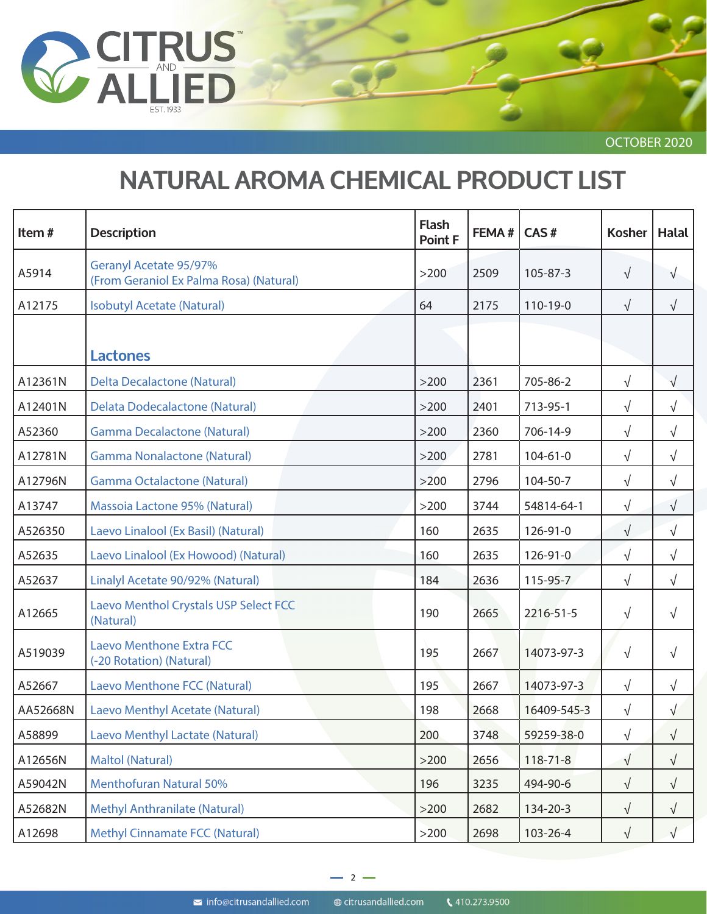

OCTOBER 2020

## **NATURAL AROMA CHEMICAL PRODUCT LIST**

| Item#    | <b>Description</b>                                                | <b>Flash</b><br><b>Point F</b> | FEMA# | CAS#           | <b>Kosher</b> | <b>Halal</b> |
|----------|-------------------------------------------------------------------|--------------------------------|-------|----------------|---------------|--------------|
| A5914    | Geranyl Acetate 95/97%<br>(From Geraniol Ex Palma Rosa) (Natural) | >200                           | 2509  | 105-87-3       | $\sqrt{ }$    | $\sqrt{}$    |
| A12175   | <b>Isobutyl Acetate (Natural)</b>                                 | 64                             | 2175  | 110-19-0       | $\sqrt{}$     | $\sqrt{ }$   |
|          | <b>Lactones</b>                                                   |                                |       |                |               |              |
| A12361N  | <b>Delta Decalactone (Natural)</b>                                | >200                           | 2361  | 705-86-2       | $\sqrt{}$     | $\sqrt{}$    |
| A12401N  | <b>Delata Dodecalactone (Natural)</b>                             | >200                           | 2401  | 713-95-1       | $\sqrt{ }$    | $\sqrt{}$    |
| A52360   | <b>Gamma Decalactone (Natural)</b>                                | $>200$                         | 2360  | 706-14-9       | $\sqrt{ }$    | $\sqrt{ }$   |
| A12781N  | <b>Gamma Nonalactone (Natural)</b>                                | $>200$                         | 2781  | $104 - 61 - 0$ | $\sqrt{}$     | $\sqrt{}$    |
| A12796N  | <b>Gamma Octalactone (Natural)</b>                                | >200                           | 2796  | 104-50-7       | $\sqrt{}$     | $\sqrt{}$    |
| A13747   | Massoia Lactone 95% (Natural)                                     | >200                           | 3744  | 54814-64-1     | $\sqrt{}$     | $\sqrt{}$    |
| A526350  | Laevo Linalool (Ex Basil) (Natural)                               | 160                            | 2635  | 126-91-0       | $\sqrt{}$     | $\sqrt{}$    |
| A52635   | Laevo Linalool (Ex Howood) (Natural)                              | 160                            | 2635  | 126-91-0       | $\sqrt{}$     | $\sqrt{}$    |
| A52637   | Linalyl Acetate 90/92% (Natural)                                  | 184                            | 2636  | 115-95-7       | $\sqrt{ }$    | $\sqrt{}$    |
| A12665   | Laevo Menthol Crystals USP Select FCC<br>(Natural)                | 190                            | 2665  | 2216-51-5      | $\sqrt{}$     | $\sqrt{}$    |
| A519039  | <b>Laevo Menthone Extra FCC</b><br>(-20 Rotation) (Natural)       | 195                            | 2667  | 14073-97-3     | $\sqrt{ }$    | $\sqrt{}$    |
| A52667   | Laevo Menthone FCC (Natural)                                      | 195                            | 2667  | 14073-97-3     | $\sqrt{}$     | $\sqrt{}$    |
| AA52668N | Laevo Menthyl Acetate (Natural)                                   | 198                            | 2668  | 16409-545-3    | $\sqrt{}$     | $\sqrt{}$    |
| A58899   | <b>Laevo Menthyl Lactate (Natural)</b>                            | 200                            | 3748  | 59259-38-0     | $\sqrt{}$     | $\sqrt{}$    |
| A12656N  | <b>Maltol (Natural)</b>                                           | $>200$                         | 2656  | $118 - 71 - 8$ | $\sqrt{ }$    | $\sqrt{ }$   |
| A59042N  | <b>Menthofuran Natural 50%</b>                                    | 196                            | 3235  | 494-90-6       | $\sqrt{}$     | $\sqrt{ }$   |
| A52682N  | <b>Methyl Anthranilate (Natural)</b>                              | $>200$                         | 2682  | 134-20-3       | $\sqrt{}$     | $\sqrt{ }$   |
| A12698   | <b>Methyl Cinnamate FCC (Natural)</b>                             | $>200$                         | 2698  | 103-26-4       | $\sqrt{}$     | $\sqrt{}$    |

@ citrusandallied.com

 $\blacktriangleright$  info@citrusandallied.com